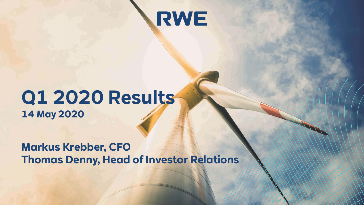

## **Q1 2020 Results 14 May 2020**

**Markus Krebber, CFO Thomas Denny, Head of Investor Relations**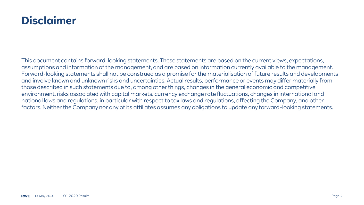## **Disclaimer**

This document contains forward-looking statements. These statements are based on the current views, expectations, assumptions and information of the management, and are based on information currently available to the management. Forward-looking statements shall not be construed as a promise for the materialisation of future results and developments and involve known and unknown risks and uncertainties. Actual results, performance or events may differ materially from those described in such statements due to, among other things, changes in the general economic and competitive environment, risks associated with capital markets, currency exchange rate fluctuations, changes in international and national laws and regulations, in particular with respect to tax laws and regulations, affecting the Company, and other factors. Neither the Company nor any of its affiliates assumes any obligations to update any forward-looking statements.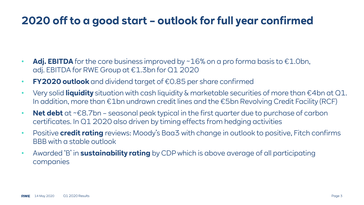## **2020 off to a good start – outlook for full year confirmed**

- **Adj. EBITDA** for the core business improved by ~16% on a pro forma basis to €1.0bn, adj. EBITDA for RWE Group at €1.3bn for Q1 2020
- **FY2020 outlook** and dividend target of €0.85 per share confirmed
- Very solid **liquidity** situation with cash liquidity & marketable securities of more than €4bn at Q1. In addition, more than €1bn undrawn credit lines and the €5bn Revolving Credit Facility (RCF)
- **Net debt** at ~€8.7bn seasonal peak typical in the first quarter due to purchase of carbon certificates. In Q1 2020 also driven by timing effects from hedging activities
- Positive **credit rating** reviews: Moody's Baa3 with change in outlook to positive, Fitch confirms BBB with a stable outlook
- Awarded 'B' in **sustainability rating** by CDP which is above average of all participating companies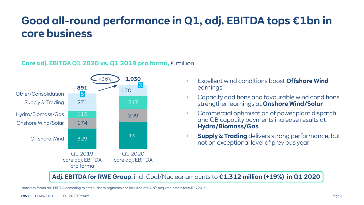## **Good all-round performance in Q1, adj. EBITDA tops €1bn in core business**

### **Core adj. EBITDA Q1 2020 vs. Q1 2019 pro forma,** € million



- **1,030** Excellent wind conditions boost **Offshore Wind**  earnings
	- Capacity additions and favourable wind conditions strengthen earnings at **Onshore Wind/Solar**
	- Commercial optimisation of power plant dispatch and GB capacity payments increase results at **Hydro/Biomass/Gas**
	- **Supply & Trading** delivers strong performance, but not on exceptional level of previous year

**Adj. EBITDA for RWE Group**, incl. Coal/Nuclear amounts to **€1,312 million (+19%) in Q1 2020**

Note: pro forma adj. EBITDA according to new business segments and inclusion of E.ON's acquired assets for full FY2019.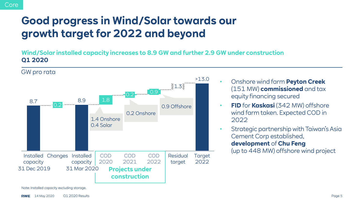## **Good progress in Wind/Solar towards our growth target for 2022 and beyond**

**Wind/Solar installed capacity increases to 8.9 GW and further 2.9 GW under construction Q1 2020**

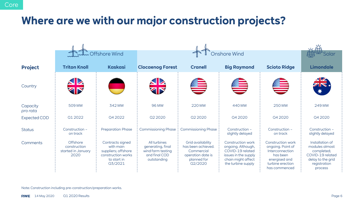## **Where are we with our major construction projects?**

|                      | <b>L</b> Offshore Wind                                 |                                                                                                      | Onshore Wind                                                                           |                                                                                                      |                                                                                                                                 |                                                                                                                             |                                                                                                                     |
|----------------------|--------------------------------------------------------|------------------------------------------------------------------------------------------------------|----------------------------------------------------------------------------------------|------------------------------------------------------------------------------------------------------|---------------------------------------------------------------------------------------------------------------------------------|-----------------------------------------------------------------------------------------------------------------------------|---------------------------------------------------------------------------------------------------------------------|
| <b>Project</b>       | <b>Triton Knoll</b>                                    | <b>Kaskasi</b>                                                                                       | <b>Clocaenog Forest</b>                                                                | <b>Cranell</b>                                                                                       | <b>Big Raymond</b>                                                                                                              | <b>Scioto Ridge</b>                                                                                                         | <b>Limondale</b>                                                                                                    |
| Country              |                                                        |                                                                                                      |                                                                                        | <u> 19</u>                                                                                           |                                                                                                                                 |                                                                                                                             | ZIN.<br>☀                                                                                                           |
| Capacity<br>pro rata | 509 MW                                                 | 342 MW                                                                                               | 96 MW                                                                                  | <b>220 MW</b>                                                                                        | 440 MW                                                                                                                          | <b>250 MW</b>                                                                                                               | 249 MW                                                                                                              |
| <b>Expected COD</b>  | Q1 2022                                                | Q4 2022                                                                                              | Q2 2020                                                                                | Q2 2020                                                                                              | Q4 2020                                                                                                                         | Q4 2020                                                                                                                     | Q4 2020                                                                                                             |
| <b>Status</b>        | Construction -<br>on track                             | <b>Preparation Phase</b>                                                                             | <b>Commissioning Phase</b>                                                             | <b>Commissioning Phase</b>                                                                           | Construction -<br>slightly delayed                                                                                              | Construction -<br>on track                                                                                                  | Construction -<br>slightly delayed                                                                                  |
| Comments             | Offshore<br>construction<br>started in January<br>2020 | Contracts signed<br>with main<br>suppliers; offshore<br>construction works<br>to start in<br>Q3/2021 | All turbines<br>generating, final<br>wind farm testing<br>and final COD<br>outstanding | Grid availability<br>has been achieved.<br>Commercial<br>operation date is<br>planned for<br>02/2020 | Construction work<br>ongoing. Although,<br>COVID-19 related<br>issues in the supply<br>chain might affect<br>the turbine supply | Construction work<br>ongoing. Point of<br>Interconnection<br>has been<br>energised and<br>turbine erection<br>has commenced | Installation of<br>modules almost<br>completed;<br>COVID-19 related<br>delay to the grid<br>registration<br>process |

Note: Construction including pre-construction/preparation works.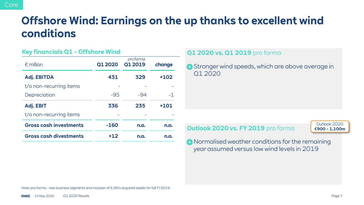## **Offshore Wind: Earnings on the up thanks to excellent wind conditions**

| $R_{\rm F}$ indicates $Q_{\rm F}$ - Urishbic while |                |                             |        |
|----------------------------------------------------|----------------|-----------------------------|--------|
| $\epsilon$ million                                 | <b>Q1 2020</b> | pro forma<br><b>Q1 2019</b> | change |
| <b>Adj. EBITDA</b>                                 | 431            | 329                         | $+102$ |
| t/o non-recurring items                            |                |                             |        |
| Depreciation                                       | $-95$          | $-94$                       | $-1$   |
| <b>Adj. EBIT</b>                                   | 336            | 235                         | $+101$ |
| t/o non-recurring items                            |                |                             |        |
| <b>Gross cash investments</b>                      | $-160$         | n.a.                        | n.a.   |
| <b>Gross cash divestments</b>                      | $+12$          | n.a.                        | n.a.   |
|                                                    |                |                             |        |

### **Key financials Q1 - Offshore Wind**

**Q1 2020 vs. Q1 2019** pro forma

**B** Stronger wind speeds, which are above average in Q1 2020

**Outlook 2020 vs. FY 2019** pro forma

Outlook 2020 **€900 – 1,100m**

Normalised weather conditions for the remaining year assumed versus low wind levels in 2019

Note: pro forma - new business segments and inclusion of E.ON's acquired assets for full FY2019.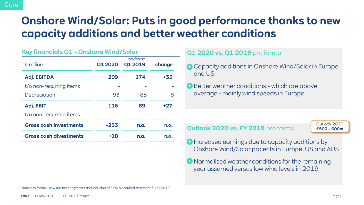## **Onshore Wind/Solar: Puts in good performance thanks to new capacity additions and better weather conditions**

| Key financials Q1 - Onshore Wind/Solar |                |                             |        |  |  |
|----------------------------------------|----------------|-----------------------------|--------|--|--|
| $\epsilon$ million                     | <b>Q1 2020</b> | pro forma<br><b>Q1 2019</b> | change |  |  |
| <b>Adj. EBITDA</b>                     | 209            | 174                         | +35    |  |  |
| t/o non-recurring items                |                |                             |        |  |  |
| Depreciation                           | $-93$          | -85                         | -8     |  |  |
| Adj. EBIT                              | 116            | 89                          | $+27$  |  |  |
| t/o non-recurring items                |                |                             |        |  |  |
| <b>Gross cash investments</b>          | $-233$         | n.a.                        | n.a.   |  |  |
| <b>Gross cash divestments</b>          | $+18$          | n.a.                        | n.a.   |  |  |
|                                        |                |                             |        |  |  |

### **Q1 2020 vs. Q1 2019** pro forma

- Capacity additions in Onshore Wind/Solar in Europe and US
- Better weather conditions which are above average - mainly wind speeds in Europe

**Outlook 2020 vs. FY 2019** pro forma

Outlook 2020 **€500 – 600m**

- Increased earnings due to capacity additions by Onshore Wind/Solar projects in Europe, US and AUS
- **O** Normalised weather conditions for the remaining year assumed versus low wind levels in 2019

Note: pro forma - new business segments and inclusion of E.ON's acquired assets for full FY2019.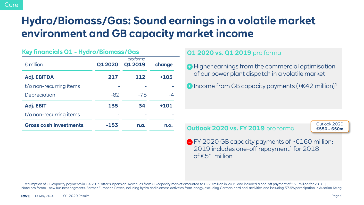## **Hydro/Biomass/Gas: Sound earnings in a volatile market environment and GB capacity market income**

| Key financials Q1 - Hydro/Biomass/Gas |                |                      |        |  |  |
|---------------------------------------|----------------|----------------------|--------|--|--|
| $\epsilon$ million                    | <b>Q1 2020</b> | pro forma<br>Q1 2019 | change |  |  |
| <b>Adj. EBITDA</b>                    | 217            | 112                  | $+105$ |  |  |
| t/o non-recurring items               |                |                      |        |  |  |
| Depreciation                          | $-82$          | $-78$                | $-4$   |  |  |
| Adj. EBIT                             | 135            | 34                   | $+101$ |  |  |
| t/o non-recurring items               |                |                      |        |  |  |
| <b>Gross cash investments</b>         | -153           | n.a.                 | n.a.   |  |  |
|                                       |                |                      |        |  |  |

### **Q1 2020 vs. Q1 2019** pro forma

**A** Higher earnings from the commercial optimisation of our power plant dispatch in a volatile market

 $\bullet$  Income from GB capacity payments (+ $\epsilon$ 42 million)<sup>1</sup>

**Outlook 2020 vs. FY 2019** pro forma

Outlook 2020 **€550 – 650m**

■ FY 2020 GB capacity payments of ~€160 million;  $2019$  includes one-off repayment<sup>1</sup> for  $2018$ of €51 million

<sup>1</sup> Resumption of GB capacity payments in Q4 2019 after suspension. Revenues from GB capacity market amounted to €229 million in 2019 and included a one-off payment of €51 million for 2018. Note: pro forma - new business segments. Former European Power, including hydro and biomass activities from innogy, excluding German hard coal activities and including 37.9% participation in Austrian Kelag.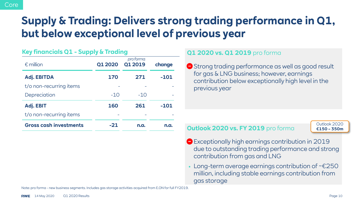### Core

## **Supply & Trading: Delivers strong trading performance in Q1, but below exceptional level of previous year**

### **Key financials Q1 - Supply & Trading**

| $\epsilon$ million            | <b>Q1 2020</b> | pro forma<br>Q1 2019 | change |
|-------------------------------|----------------|----------------------|--------|
| Adj. EBITDA                   | 170            | 271                  | -101   |
| t/o non-recurring items       |                |                      |        |
| Depreciation                  | $-10$          | $-10$                |        |
| Adj. EBIT                     | 160            | 261                  | $-101$ |
| t/o non-recurring items       |                |                      |        |
| <b>Gross cash investments</b> | -21            | n.a.                 | n.a.   |

### **Q1 2020 vs. Q1 2019** pro forma

● Strong trading performance as well as good result for gas & LNG business; however, earnings contribution below exceptionally high level in the previous year

### **Outlook 2020 vs. FY 2019** pro forma

Outlook 2020 **€150 – 350m**

- Exceptionally high earnings contribution in 2019 due to outstanding trading performance and strong contribution from gas and LNG
- Long-term average earnings contribution of ~€250 million, including stable earnings contribution from gas storage

Note: pro forma - new business segments. Includes gas storage activities acquired from E.ON for full FY2019.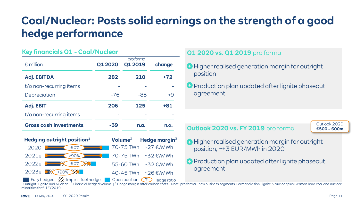## **Coal/Nuclear: Posts solid earnings on the strength of a good hedge performance**

### **Key financials Q1 - Coal/Nuclear**

| $\epsilon$ million            | <b>Q1 2020</b> | pro forma<br>Q1 2019 | change |
|-------------------------------|----------------|----------------------|--------|
| <b>Adj. EBITDA</b>            | 282            | 210                  | $+72$  |
| t/o non-recurring items       |                |                      |        |
| Depreciation                  | $-76$          | $-85$                | $+9$   |
| Adj. EBIT                     | 206            | 125                  | +81    |
| t/o non-recurring items       |                |                      |        |
| <b>Gross cash investments</b> | -39            | n.a.                 | n.a.   |

### **Hedging outright position<sup>1</sup>** 2023e  $\rightarrow$ 2020 2021e 2022e **Volume<sup>2</sup> Hedge margin<sup>3</sup>** 70-75 TWh ~27 €/MWh 70-75 TWh ~32 €/MWh 55-60 TWh ~32 €/MWh 40-45 TWh ~26 €/MWh  $>90%$ >90% >90% >90%

### **Q1 2020 vs. Q1 2019** pro forma

- Higher realised generation margin for outright position
- **P** Production plan updated after lignite phaseout agreement

### **Outlook 2020 vs. FY 2019** pro forma

Outlook 2020 **€500 – 600m**

- **A** Higher realised generation margin for outright position, ~+3 EUR/MWh in 2020
- Production plan updated after lignite phaseout agreement

Fully hedged  $\mathbb{Z}_p$  Implicit fuel hedge <sup>1</sup>Outright: Lignite and Nuclear. | <sup>2</sup> Financial hedged volume. | <sup>3</sup> Hedge margin after carbon costs. | Note: pro forma - new business segments. Former division Lignite & Nuclear plus German hard coal and nuclear minorities for full FY2019. **%**>Hedge ratio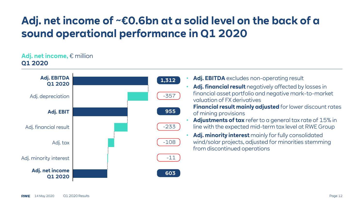## **Adj. net income of ~€0.6bn at a solid level on the back of a sound operational performance in Q1 2020**

### **Adj. net income,** € million **Q1 2020**



- Adj. **EBITDA** excludes non-operating result
- **Adj. financial result** negatively affected by losses in financial asset portfolio and negative mark-to-market valuation of FX derivatives
	- **Financial result mainly adjusted** for lower discount rates of mining provisions
- **Adjustments of tax** refer to a general tax rate of 15% in line with the expected mid-term tax level at RWE Group
- **Adj. minority interest** mainly for fully consolidated wind/solar projects, adjusted for minorities stemming from discontinued operations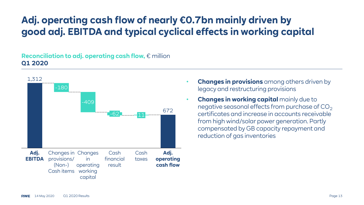### **Adj. operating cash flow of nearly €0.7bn mainly driven by good adj. EBITDA and typical cyclical effects in working capital**

### **Reconciliation to adj. operating cash flow,** € million **Q1 2020**



- **Changes in provisions** among others driven by legacy and restructuring provisions
- **Changes in working capital** mainly due to negative seasonal effects from purchase of  $CO<sub>2</sub>$ certificates and increase in accounts receivable from high wind/solar power generation. Partly compensated by GB capacity repayment and reduction of gas inventories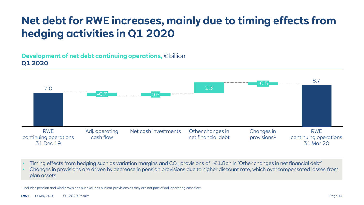## **Net debt for RWE increases, mainly due to timing effects from hedging activities in Q1 2020**

### **Development of net debt continuing operations,** € billion **Q1 2020**



- Timing effects from hedging such as variation margins and  $CO_2$  provisions of ~ $\epsilon$ 1.8bn in 'Other changes in net financial debt'
- Changes in provisions are driven by decrease in pension provisions due to higher discount rate, which overcompensated losses from plan assets

<sup>1</sup>Includes pension and wind provisions but excludes nuclear provisions as they are not part of adj. operating cash flow.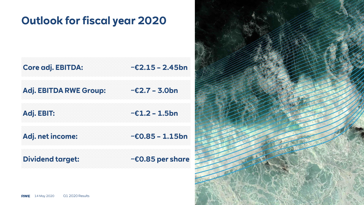## **Outlook for fiscal year 2020**

| <b>Core adj. EBITDA:</b>      | $\sim$ £2.15 – 2.45bn   |
|-------------------------------|-------------------------|
| <b>Adj. EBITDA RWE Group:</b> | $\sim$ £2.7 – 3.0bn     |
| Adj. EBIT:                    | $~2$ - 1.5bn            |
| Adj. net income:              | $~5$ - £0.85 - 1.15bn   |
| <b>Dividend target:</b>       | $~\sim$ £0.85 per share |

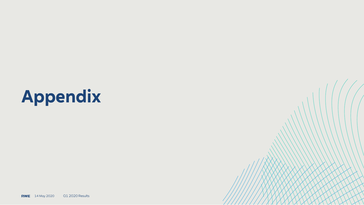# **Appendix**

**RWE** 14 May 2020 Q1 2020 Results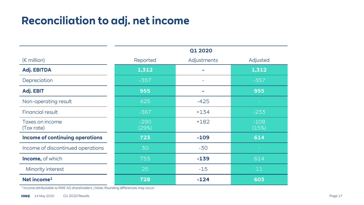## **Reconciliation to adj. net income**

|                                        |                 | Q1 2020     |                 |
|----------------------------------------|-----------------|-------------|-----------------|
| $(E \text{ million})$                  | Reported        | Adjustments | Adjusted        |
| <b>Adj. EBITDA</b>                     | 1,312           |             | 1,312           |
| Depreciation                           | $-357$          | ۰           | $-357$          |
| Adj. EBIT                              | 955             |             | 955             |
| Non-operating result                   | 425             | $-425$      |                 |
| <b>Financial result</b>                | $-367$          | $+134$      | $-233$          |
| Taxes on income<br>(Tax rate)          | $-290$<br>(29%) | $+182$      | $-108$<br>(15%) |
| <b>Income of continuing operations</b> | 723             | $-109$      | 614             |
| Income of discontinued operations      | 30              | $-30$       |                 |
| <b>Income, of which</b>                | 753             | $-139$      | 614             |
| Minority interest                      | 25              | $-15$       | 11              |
| Net income <sup>1</sup>                | 728             | $-124$      | 603             |

<sup>1</sup> Income attributable to RWE AG shareholders. | Note: Rounding differences may occur.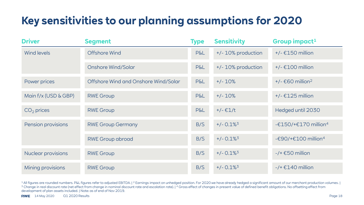## **Key sensitivities to our planning assumptions for 2020**

| <b>Driver</b>        | <b>Segment</b>                       | <b>Type</b>    | <b>Sensitivity</b>       | Group impact <sup>1</sup>                                                       |
|----------------------|--------------------------------------|----------------|--------------------------|---------------------------------------------------------------------------------|
| <b>Wind levels</b>   | <b>Offshore Wind</b>                 | <b>P&amp;L</b> | +/- 10% production       | $+/- \epsilon$ 150 million                                                      |
|                      | <b>Onshore Wind/Solar</b>            | <b>P&amp;L</b> | +/- 10% production       | $+/- \text{\textsterling}100$ million                                           |
| Power prices         | Offshore Wind and Onshore Wind/Solar | <b>P&amp;L</b> | $+/- 10%$                | $+/ E60$ million <sup>2</sup>                                                   |
| Main f/x (USD & GBP) | <b>RWE Group</b>                     | <b>P&amp;L</b> | $+/- 10%$                | $+/- \epsilon$ 125 million                                                      |
| $CO2$ prices         | <b>RWE Group</b>                     | <b>P&amp;L</b> | $+/- €1/t$               | Hedged until 2030                                                               |
| Pension provisions   | <b>RWE Group Germany</b>             | B/S            | $+/- 0.1\%$ <sup>3</sup> | -€150/+€170 million <sup>4</sup>                                                |
|                      | <b>RWE</b> Group abroad              | B/S            | $+/- 0.1\%$ <sup>3</sup> | - $\text{\textsterling}90/\text{+}\text{\textsterling}100$ million <sup>4</sup> |
| Nuclear provisions   | <b>RWE Group</b>                     | B/S            | $+/- 0.1\%$ <sup>3</sup> | $-$ /+ $\epsilon$ 50 million                                                    |
| Mining provisions    | <b>RWE Group</b>                     | B/S            | $+/- 0.1\%$ <sup>3</sup> | $-$ /+ $£140$ million                                                           |

1All figures are rounded numbers. P&L figures refer to adjusted EBITDA. | 2 Earnings impact on unhedged position. For 2020 we have already hedged a significant amount of our merchant production volumes. | <sup>3</sup> Change in real discount rate (net effect from change in nominal discount rate and escalation rate). |<sup>4</sup> Gross effect of changes in present value of defined benefit obligations. No offsetting effect from development of plan assets included. | Note: as of end of Nov 2019.